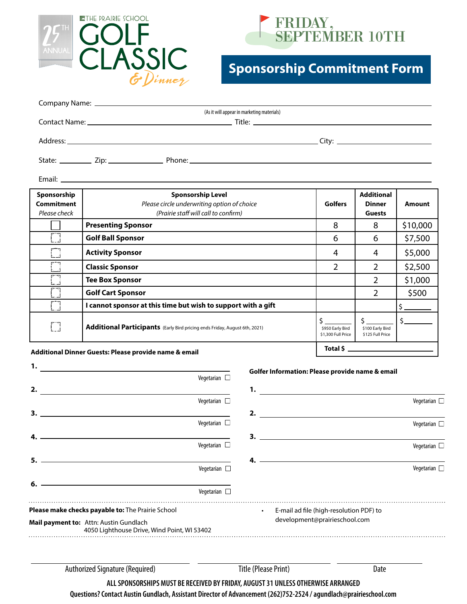



## **Sponsorship Commitment Form**

| (As it will appear in marketing materials) |
|--------------------------------------------|
|                                            |
|                                            |
|                                            |
|                                            |
|                                            |
|                                            |

Email:

| Sponsorship<br><b>Commitment</b><br>Please check       | <b>Sponsorship Level</b><br>Please circle underwriting option of choice<br>(Prairie staff will call to confirm) | <b>Golfers</b>                         | <b>Additional</b><br><b>Dinner</b><br><b>Guests</b> | Amount   |
|--------------------------------------------------------|-----------------------------------------------------------------------------------------------------------------|----------------------------------------|-----------------------------------------------------|----------|
|                                                        | <b>Presenting Sponsor</b>                                                                                       | 8                                      | 8                                                   | \$10,000 |
|                                                        | <b>Golf Ball Sponsor</b>                                                                                        | 6                                      | 6                                                   | \$7,500  |
|                                                        | <b>Activity Sponsor</b>                                                                                         | 4                                      | 4                                                   | \$5,000  |
|                                                        | <b>Classic Sponsor</b>                                                                                          | 2                                      | 2                                                   | \$2,500  |
|                                                        | <b>Tee Box Sponsor</b>                                                                                          |                                        | 2                                                   | \$1,000  |
|                                                        | <b>Golf Cart Sponsor</b>                                                                                        |                                        | 2                                                   | \$500    |
|                                                        | I cannot sponsor at this time but wish to support with a gift                                                   |                                        |                                                     |          |
|                                                        | Additional Participants (Early Bird pricing ends Friday, August 6th, 2021)                                      | \$950 Early Bird<br>\$1,300 Full Price | \$100 Early Bird<br>\$125 Full Price                |          |
| Additional Dinner Guests: Please provide name 8, email |                                                                                                                 |                                        |                                                     |          |

## **Additional Dinner Guests: Please provide name & email**

| 1.                                                                                    |                                                   |                             |                                                 |
|---------------------------------------------------------------------------------------|---------------------------------------------------|-----------------------------|-------------------------------------------------|
|                                                                                       | Vegetarian $\square$                              |                             | Golfer Information: Please provide name & email |
| 2.                                                                                    |                                                   | 1.                          |                                                 |
|                                                                                       | Vegetarian $\square$                              |                             | Vegetarian $\square$                            |
| 3.                                                                                    |                                                   | 2.                          |                                                 |
|                                                                                       | Vegetarian $\square$                              |                             | Vegetarian $\square$                            |
|                                                                                       |                                                   |                             |                                                 |
|                                                                                       | Vegetarian $\square$                              |                             | Vegetarian $\square$                            |
| 5.                                                                                    |                                                   |                             | $4.$ $\overline{\phantom{1}}$                   |
|                                                                                       | Vegetarian $\square$                              |                             | Vegetarian $\Box$                               |
| 6.                                                                                    |                                                   |                             |                                                 |
|                                                                                       | Vegetarian $\square$                              |                             |                                                 |
|                                                                                       | Please make checks payable to: The Prairie School | $\bullet$                   | E-mail ad file (high-resolution PDF) to         |
| Mail payment to: Attn: Austin Gundlach<br>4050 Lighthouse Drive, Wind Point, WI 53402 |                                                   |                             | development@prairieschool.com                   |
|                                                                                       |                                                   |                             |                                                 |
|                                                                                       | <b>Authorized Signature (Required)</b>            | <b>Title (Please Print)</b> | Date                                            |

**ALL SPONSORSHIPS MUST BE RECEIVED BY FRIDAY, AUGUST 31 UNLESS OTHERWISE ARRANGED** 

**Questions? Contact Austin Gundlach, Assistant Director of Advancement (262)752-2524 / agundlach@prairieschool.com**